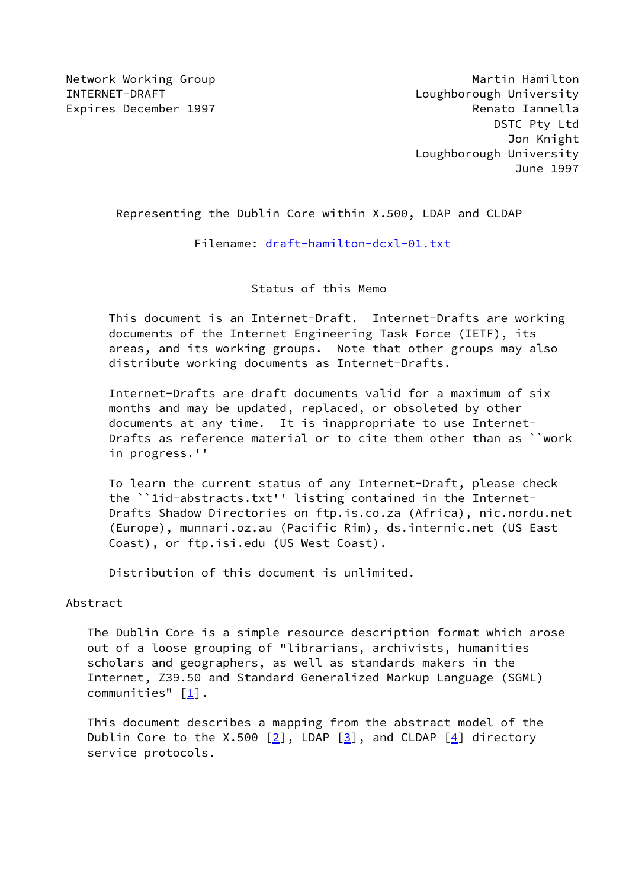Network Working Group **Martin Hamilton** Martin Hamilton INTERNET-DRAFT Loughborough University Expires December 1997 **Renato Iannella**  DSTC Pty Ltd Jon Knight Loughborough University June 1997

## Representing the Dublin Core within X.500, LDAP and CLDAP

Filename: [draft-hamilton-dcxl-01.txt](https://datatracker.ietf.org/doc/pdf/draft-hamilton-dcxl-01.txt)

### Status of this Memo

 This document is an Internet-Draft. Internet-Drafts are working documents of the Internet Engineering Task Force (IETF), its areas, and its working groups. Note that other groups may also distribute working documents as Internet-Drafts.

 Internet-Drafts are draft documents valid for a maximum of six months and may be updated, replaced, or obsoleted by other documents at any time. It is inappropriate to use Internet- Drafts as reference material or to cite them other than as ``work in progress.''

 To learn the current status of any Internet-Draft, please check the ``1id-abstracts.txt'' listing contained in the Internet- Drafts Shadow Directories on ftp.is.co.za (Africa), nic.nordu.net (Europe), munnari.oz.au (Pacific Rim), ds.internic.net (US East Coast), or ftp.isi.edu (US West Coast).

Distribution of this document is unlimited.

## Abstract

 The Dublin Core is a simple resource description format which arose out of a loose grouping of "librarians, archivists, humanities scholars and geographers, as well as standards makers in the Internet, Z39.50 and Standard Generalized Markup Language (SGML) communities" [\[1\]](#page-6-0).

 This document describes a mapping from the abstract model of the Dublin Core to the X.500  $\lceil 2 \rceil$ , LDAP  $\lceil 3 \rceil$ , and CLDAP  $\lceil 4 \rceil$  directory service protocols.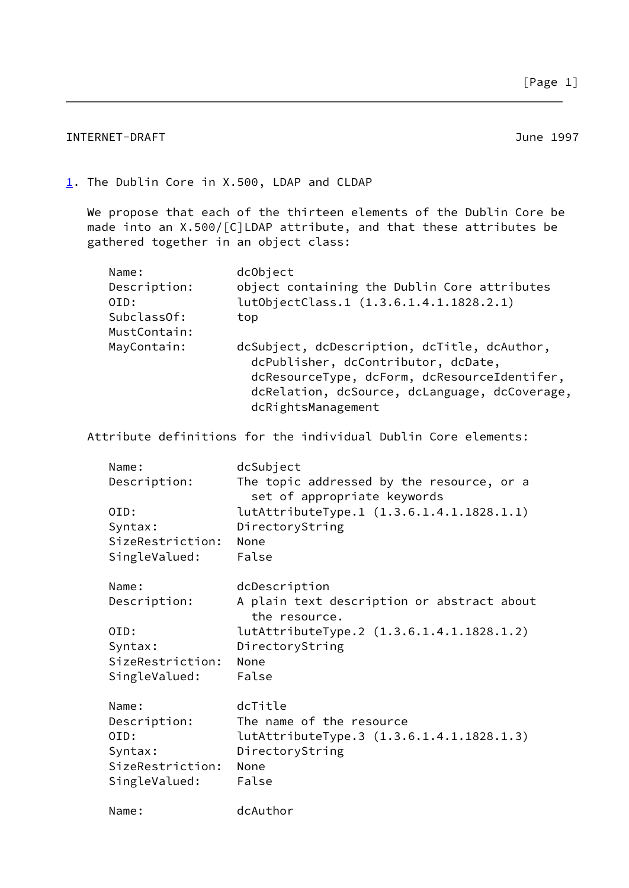# INTERNET-DRAFT 30 NORTH STATES AND THE SERIES OF THE SERIES OF THE SERIES OF THE SERIES OF THE SERIES OF THE S

<span id="page-1-0"></span>[1](#page-1-0). The Dublin Core in X.500, LDAP and CLDAP

 We propose that each of the thirteen elements of the Dublin Core be made into an X.500/[C]LDAP attribute, and that these attributes be gathered together in an object class:

| Name:        | dcObject                                                                                                                                                                                                   |
|--------------|------------------------------------------------------------------------------------------------------------------------------------------------------------------------------------------------------------|
| Description: | object containing the Dublin Core attributes                                                                                                                                                               |
| OID:         | lutObjectClass.1 (1.3.6.1.4.1.1828.2.1)                                                                                                                                                                    |
| SubclassOf:  | top                                                                                                                                                                                                        |
| MustContain: |                                                                                                                                                                                                            |
| MayContain:  | dcSubject, dcDescription, dcTitle, dcAuthor,<br>dcPublisher, dcContributor, dcDate,<br>dcResourceType, dcForm, dcResourceIdentifer,<br>dcRelation, dcSource, dcLanguage, dcCoverage,<br>dcRightsManagement |

Attribute definitions for the individual Dublin Core elements:

| Name:<br>Description:                                                         | dcSubject<br>The topic addressed by the resource, or a<br>set of appropriate keywords                                                                         |
|-------------------------------------------------------------------------------|---------------------------------------------------------------------------------------------------------------------------------------------------------------|
| OID:<br>Syntax:<br>SizeRestriction:<br>SingleValued:                          | lutAttributeType.1 (1.3.6.1.4.1.1828.1.1)<br>DirectoryString<br>None<br>False                                                                                 |
| Name:<br>Description:<br>OID:<br>Syntax:<br>SizeRestriction:<br>SingleValued: | dcDescription<br>A plain text description or abstract about<br>the resource.<br>lutAttributeType.2 (1.3.6.1.4.1.1828.1.2)<br>DirectoryString<br>None<br>False |
| Name:<br>Description:<br>OID:<br>Syntax:<br>SizeRestriction:<br>SingleValued: | dcTitle<br>The name of the resource<br>lutAttributeType.3 (1.3.6.1.4.1.1828.1.3)<br>DirectoryString<br>None<br>False                                          |
| Name:                                                                         | dcAuthor                                                                                                                                                      |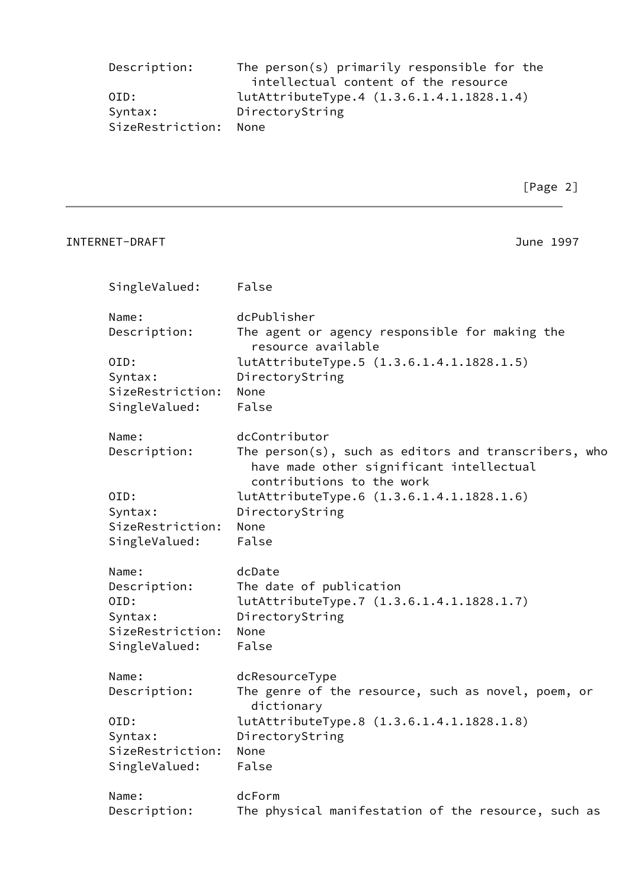| Description:     | The person(s) primarily responsible for the |
|------------------|---------------------------------------------|
|                  | intellectual content of the resource        |
| OID:             | lutAttributeType.4 (1.3.6.1.4.1.1828.1.4)   |
| Syntax:          | DirectoryString                             |
| SizeRestriction: | – None                                      |

| INTERNET-DRAFT   | June 1997                                                                                                                     |
|------------------|-------------------------------------------------------------------------------------------------------------------------------|
| SingleValued:    | False                                                                                                                         |
| Name:            | dcPublisher                                                                                                                   |
| Description:     | The agent or agency responsible for making the<br>resource available                                                          |
| OID:             | lutAttributeType.5 (1.3.6.1.4.1.1828.1.5)                                                                                     |
| Syntax:          | DirectoryString                                                                                                               |
| SizeRestriction: | None                                                                                                                          |
| SingleValued:    | False                                                                                                                         |
| Name:            | dcContributor                                                                                                                 |
| Description:     | The person(s), such as editors and transcribers, who<br>have made other significant intellectual<br>contributions to the work |
| OID:             | lutAttributeType.6 (1.3.6.1.4.1.1828.1.6)                                                                                     |
| Syntax:          | DirectoryString                                                                                                               |
| SizeRestriction: | None                                                                                                                          |
| SingleValued:    | False                                                                                                                         |
| Name:            | dcDate                                                                                                                        |
| Description:     | The date of publication                                                                                                       |
| OID:             | lutAttributeType.7 (1.3.6.1.4.1.1828.1.7)                                                                                     |
| Syntax:          | DirectoryString                                                                                                               |
| SizeRestriction: | None                                                                                                                          |
| SingleValued:    | False                                                                                                                         |
| Name:            | dcResourceType                                                                                                                |
| Description:     | The genre of the resource, such as novel, poem, or<br>dictionary                                                              |
| OID:             | lutAttributeType.8 (1.3.6.1.4.1.1828.1.8)                                                                                     |
| Syntax:          | DirectoryString                                                                                                               |
| SizeRestriction: | None                                                                                                                          |
| SingleValued:    | False                                                                                                                         |
| Name:            | dcForm                                                                                                                        |
| Description:     | The physical manifestation of the resource, such as                                                                           |
|                  |                                                                                                                               |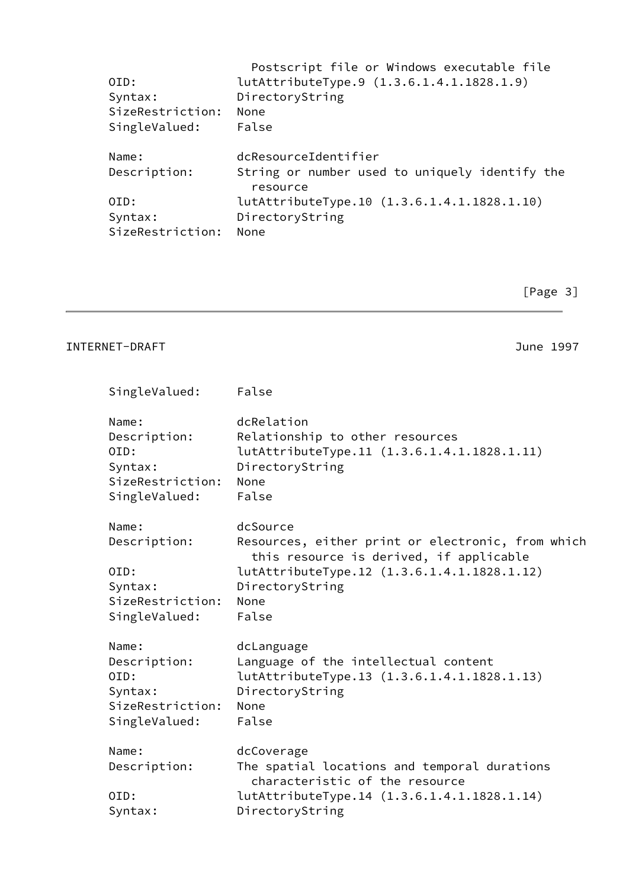| OID:<br>Syntax:<br>SizeRestriction:<br>SingleValued: | Postscript file or Windows executable file<br>lutAttributeType.9 (1.3.6.1.4.1.1828.1.9)<br>DirectoryString<br>None<br>False |
|------------------------------------------------------|-----------------------------------------------------------------------------------------------------------------------------|
| Name:<br>Description:                                | dcResourceIdentifier<br>String or number used to uniquely identify the                                                      |
|                                                      | resource                                                                                                                    |
| OID:                                                 | lutAttributeType.10 (1.3.6.1.4.1.1828.1.10)                                                                                 |
| Syntax:                                              | DirectoryString                                                                                                             |
| SizeRestriction:                                     | None                                                                                                                        |

[Page 3]

## INTERNET-DRAFT 397

| SingleValued:                                                                 | False                                                                                                                            |
|-------------------------------------------------------------------------------|----------------------------------------------------------------------------------------------------------------------------------|
| Name:<br>Description:<br>OID:<br>Syntax:<br>SizeRestriction:<br>SingleValued: | dcRelation<br>Relationship to other resources<br>lutAttributeType.11 (1.3.6.1.4.1.1828.1.11)<br>DirectoryString<br>None<br>False |
|                                                                               |                                                                                                                                  |
| Name:<br>Description:                                                         | dcSource<br>Resources, either print or electronic, from which<br>this resource is derived, if applicable                         |
| OID:                                                                          | lutAttributeType.12 (1.3.6.1.4.1.1828.1.12)                                                                                      |
| Syntax:                                                                       | DirectoryString                                                                                                                  |
| SizeRestriction:                                                              | None                                                                                                                             |
| SingleValued:                                                                 | False                                                                                                                            |
| Name:                                                                         | dcLanguage                                                                                                                       |
| Description:                                                                  | Language of the intellectual content                                                                                             |
| OID:                                                                          | lutAttributeType.13 (1.3.6.1.4.1.1828.1.13)                                                                                      |
| Syntax:                                                                       | DirectoryString                                                                                                                  |
| SizeRestriction:                                                              | <b>None</b>                                                                                                                      |
| SingleValued:                                                                 | False                                                                                                                            |
| Name:                                                                         | dcCoverage                                                                                                                       |
| Description:                                                                  | The spatial locations and temporal durations<br>characteristic of the resource                                                   |
| OID:                                                                          | lutAttributeType.14 (1.3.6.1.4.1.1828.1.14)                                                                                      |
| Syntax:                                                                       | DirectoryString                                                                                                                  |
|                                                                               |                                                                                                                                  |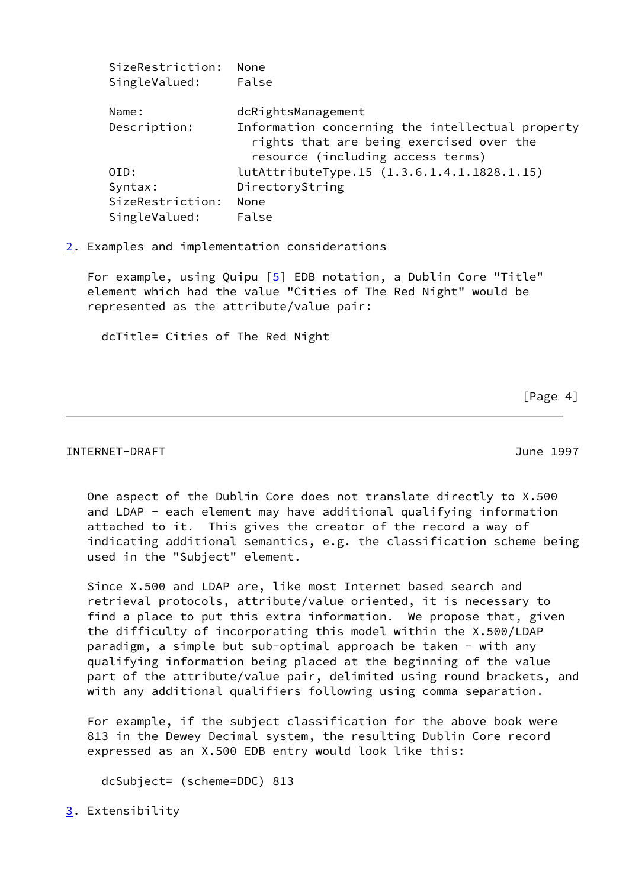| SizeRestriction:<br>SingleValued: | None<br>False                                                                                                                     |
|-----------------------------------|-----------------------------------------------------------------------------------------------------------------------------------|
| Name:                             | dcRightsManagement                                                                                                                |
| Description:                      | Information concerning the intellectual property<br>rights that are being exercised over the<br>resource (including access terms) |
| OID:                              | lutAttributeType.15 (1.3.6.1.4.1.1828.1.15)                                                                                       |
| Syntax:                           | DirectoryString                                                                                                                   |
| SizeRestriction:                  | None                                                                                                                              |
| SingleValued:                     | False                                                                                                                             |
|                                   |                                                                                                                                   |

<span id="page-4-0"></span>[2](#page-4-0). Examples and implementation considerations

For example, using Quipu [\[5\]](#page-6-4) EDB notation, a Dublin Core "Title" element which had the value "Cities of The Red Night" would be represented as the attribute/value pair:

dcTitle= Cities of The Red Night

[Page 4]

#### INTERNET-DRAFT June 1997

 One aspect of the Dublin Core does not translate directly to X.500 and LDAP - each element may have additional qualifying information attached to it. This gives the creator of the record a way of indicating additional semantics, e.g. the classification scheme being used in the "Subject" element.

 Since X.500 and LDAP are, like most Internet based search and retrieval protocols, attribute/value oriented, it is necessary to find a place to put this extra information. We propose that, given the difficulty of incorporating this model within the X.500/LDAP paradigm, a simple but sub-optimal approach be taken - with any qualifying information being placed at the beginning of the value part of the attribute/value pair, delimited using round brackets, and with any additional qualifiers following using comma separation.

 For example, if the subject classification for the above book were 813 in the Dewey Decimal system, the resulting Dublin Core record expressed as an X.500 EDB entry would look like this:

dcSubject= (scheme=DDC) 813

<span id="page-4-1"></span>[3](#page-4-1). Extensibility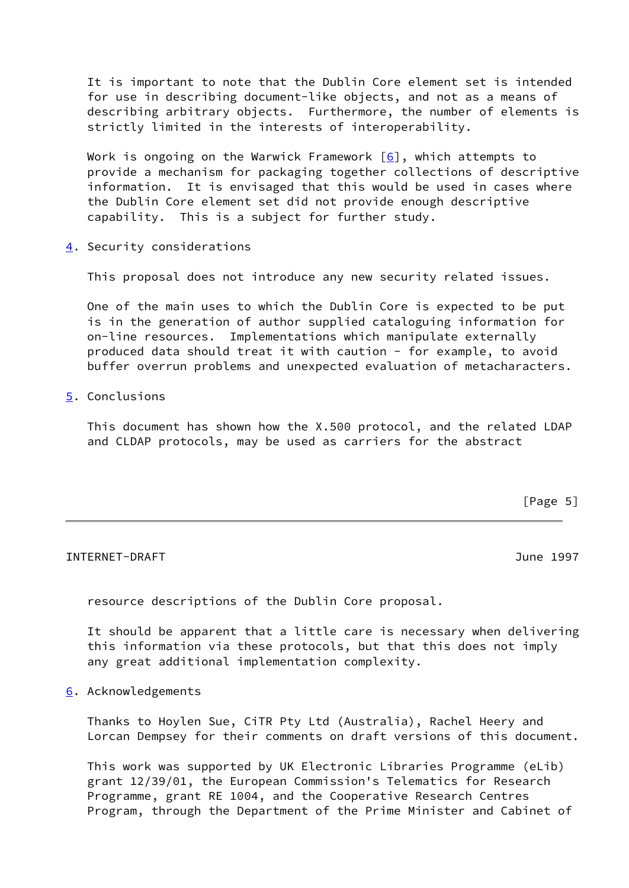It is important to note that the Dublin Core element set is intended for use in describing document-like objects, and not as a means of describing arbitrary objects. Furthermore, the number of elements is strictly limited in the interests of interoperability.

Work is ongoing on the Warwick Framework  $[6]$ , which attempts to provide a mechanism for packaging together collections of descriptive information. It is envisaged that this would be used in cases where the Dublin Core element set did not provide enough descriptive capability. This is a subject for further study.

<span id="page-5-0"></span>[4](#page-5-0). Security considerations

This proposal does not introduce any new security related issues.

 One of the main uses to which the Dublin Core is expected to be put is in the generation of author supplied cataloguing information for on-line resources. Implementations which manipulate externally produced data should treat it with caution - for example, to avoid buffer overrun problems and unexpected evaluation of metacharacters.

<span id="page-5-1"></span>[5](#page-5-1). Conclusions

 This document has shown how the X.500 protocol, and the related LDAP and CLDAP protocols, may be used as carriers for the abstract

 $[Page 5]$ 

## INTERNET-DRAFT June 1997

resource descriptions of the Dublin Core proposal.

 It should be apparent that a little care is necessary when delivering this information via these protocols, but that this does not imply any great additional implementation complexity.

<span id="page-5-2"></span>[6](#page-5-2). Acknowledgements

 Thanks to Hoylen Sue, CiTR Pty Ltd (Australia), Rachel Heery and Lorcan Dempsey for their comments on draft versions of this document.

 This work was supported by UK Electronic Libraries Programme (eLib) grant 12/39/01, the European Commission's Telematics for Research Programme, grant RE 1004, and the Cooperative Research Centres Program, through the Department of the Prime Minister and Cabinet of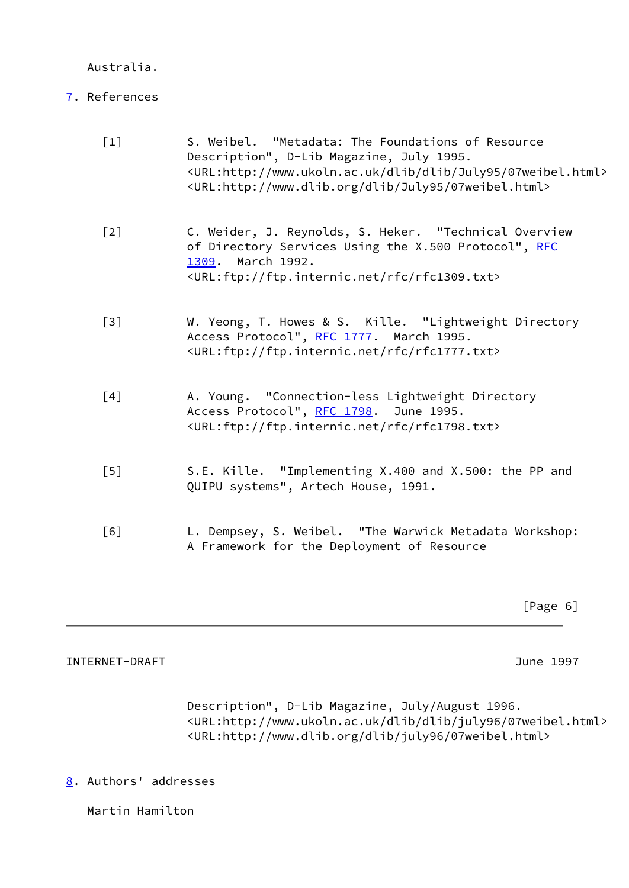Australia.

# <span id="page-6-6"></span>[7](#page-6-6). References

<span id="page-6-3"></span><span id="page-6-2"></span><span id="page-6-1"></span><span id="page-6-0"></span>

| $[1]$ | S. Weibel. "Metadata: The Foundations of Resource<br>Description", D-Lib Magazine, July 1995.<br><url:http: 07weibel.html="" dlib="" july95="" www.ukoln.ac.uk=""><br/><url:http: 07weibel.html="" dlib="" july95="" www.dlib.org=""></url:http:></url:http:> |
|-------|---------------------------------------------------------------------------------------------------------------------------------------------------------------------------------------------------------------------------------------------------------------|
| $[2]$ | C. Weider, J. Reynolds, S. Heker. "Technical Overview<br>of Directory Services Using the X.500 Protocol", RFC<br>March 1992.<br>1309.<br><url:ftp: ftp.internic.net="" rfc="" rfc1309.txt=""></url:ftp:>                                                      |
| $[3]$ | W. Yeong, T. Howes & S. Kille. "Lightweight Directory<br>Access Protocol", RFC 1777. March 1995.<br><url:ftp: ftp.internic.net="" rfc="" rfc1777.txt=""></url:ftp:>                                                                                           |
| [4]   | A. Young. "Connection-less Lightweight Directory<br>Access Protocol", RFC 1798. June 1995.<br><url:ftp: ftp.internic.net="" rfc="" rfc1798.txt=""></url:ftp:>                                                                                                 |
| [5]   | S.E. Kille. "Implementing X.400 and X.500: the PP and<br>QUIPU systems", Artech House, 1991.                                                                                                                                                                  |
| [6]   | L. Dempsey, S. Weibel. "The Warwick Metadata Workshop:<br>A Framework for the Deployment of Resource                                                                                                                                                          |

[Page 6]

# <span id="page-6-5"></span><span id="page-6-4"></span>INTERNET-DRAFT 397

 Description", D-Lib Magazine, July/August 1996. <URL:http://www.ukoln.ac.uk/dlib/dlib/july96/07weibel.html> <URL:http://www.dlib.org/dlib/july96/07weibel.html>

<span id="page-6-7"></span>[8](#page-6-7). Authors' addresses

Martin Hamilton